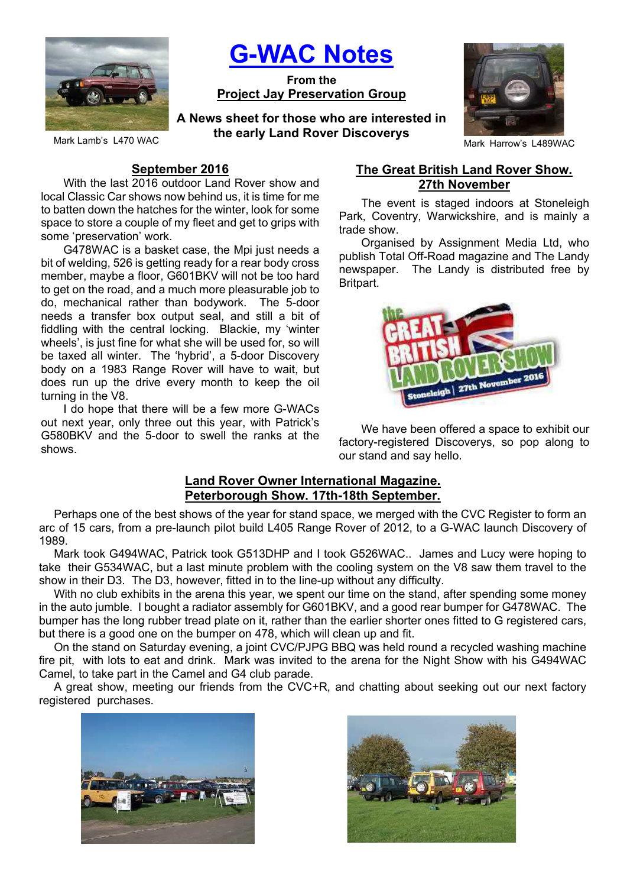

G-WAC Notes

From the Project Jay Preservation Group

Mark Lamb's L470 WAC **Mark Langest Control Control of the early Latiu Novel Discoverys** Mark Harrow's L489WAC A News sheet for those who are interested in the early Land Rover Discoverys



#### September 2016

With the last 2016 outdoor Land Rover show and local Classic Car shows now behind us, it is time for me to batten down the hatches for the winter, look for some space to store a couple of my fleet and get to grips with some 'preservation' work.

G478WAC is a basket case, the Mpi just needs a bit of welding, 526 is getting ready for a rear body cross member, maybe a floor, G601BKV will not be too hard to get on the road, and a much more pleasurable job to do, mechanical rather than bodywork. The 5-door needs a transfer box output seal, and still a bit of fiddling with the central locking. Blackie, my 'winter wheels', is just fine for what she will be used for, so will be taxed all winter. The 'hybrid', a 5-door Discovery body on a 1983 Range Rover will have to wait, but does run up the drive every month to keep the oil turning in the V8.

I do hope that there will be a few more G-WACs out next year, only three out this year, with Patrick's G580BKV and the 5-door to swell the ranks at the shows.

# The Great British Land Rover Show. 27th November

The event is staged indoors at Stoneleigh Park, Coventry, Warwickshire, and is mainly a trade show.

Organised by Assignment Media Ltd, who publish Total Off-Road magazine and The Landy newspaper. The Landy is distributed free by Britpart.



We have been offered a space to exhibit our factory-registered Discoverys, so pop along to our stand and say hello.

#### Land Rover Owner International Magazine. Peterborough Show. 17th-18th September.

Perhaps one of the best shows of the year for stand space, we merged with the CVC Register to form an arc of 15 cars, from a pre-launch pilot build L405 Range Rover of 2012, to a G-WAC launch Discovery of 1989.

Mark took G494WAC, Patrick took G513DHP and I took G526WAC.. James and Lucy were hoping to take their G534WAC, but a last minute problem with the cooling system on the V8 saw them travel to the show in their D3. The D3, however, fitted in to the line-up without any difficulty.

With no club exhibits in the arena this year, we spent our time on the stand, after spending some money in the auto jumble. I bought a radiator assembly for G601BKV, and a good rear bumper for G478WAC. The bumper has the long rubber tread plate on it, rather than the earlier shorter ones fitted to G registered cars, but there is a good one on the bumper on 478, which will clean up and fit.

On the stand on Saturday evening, a joint CVC/PJPG BBQ was held round a recycled washing machine fire pit, with lots to eat and drink. Mark was invited to the arena for the Night Show with his G494WAC Camel, to take part in the Camel and G4 club parade.

A great show, meeting our friends from the CVC+R, and chatting about seeking out our next factory registered purchases.



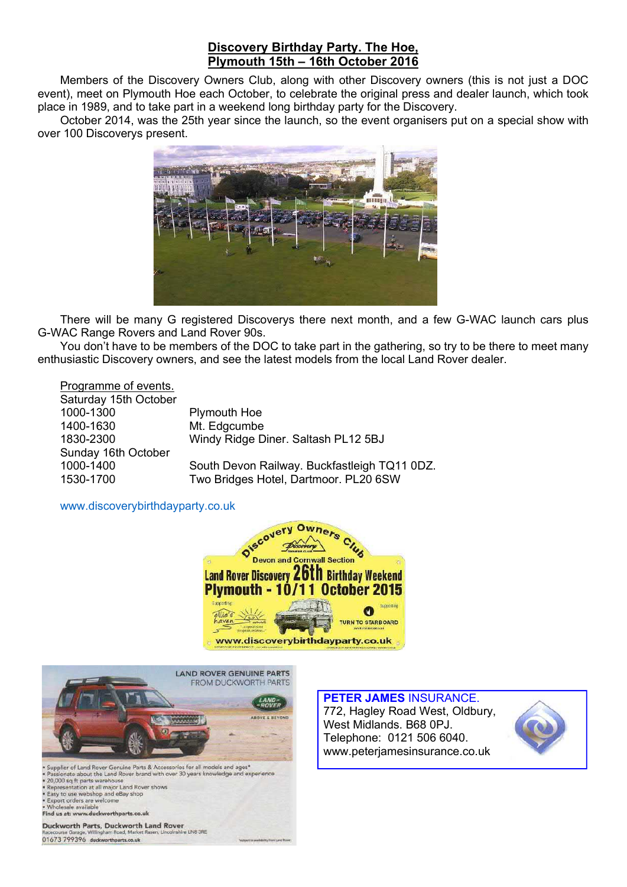# Discovery Birthday Party. The Hoe, Plymouth 15th – 16th October 2016

Members of the Discovery Owners Club, along with other Discovery owners (this is not just a DOC event), meet on Plymouth Hoe each October, to celebrate the original press and dealer launch, which took place in 1989, and to take part in a weekend long birthday party for the Discovery.

October 2014, was the 25th year since the launch, so the event organisers put on a special show with over 100 Discoverys present.



There will be many G registered Discoverys there next month, and a few G-WAC launch cars plus G-WAC Range Rovers and Land Rover 90s.

You don't have to be members of the DOC to take part in the gathering, so try to be there to meet many enthusiastic Discovery owners, and see the latest models from the local Land Rover dealer.

Programme of events. Saturday 15th October 1000-1300 Plymouth Hoe 1400-1630 Mt. Edgcumbe 1830-2300 Windy Ridge Diner. Saltash PL12 5BJ Sunday 16th October 1000-1400 South Devon Railway. Buckfastleigh TQ11 0DZ. 1530-1700 Two Bridges Hotel, Dartmoor. PL20 6SW

www.discoverybirthdayparty.co.uk





Supplier of Land Rover Genuine Parts & Accessories for all models and ages'<br>Passionate about the Land Rover brand with over 30 years knowledge and exposition at all major Land Rover shows<br>Representation at all major Land R d experience Easy to use webshop and eBay shop<br>Export orders are welcome<br>Wholesale available Find us at: www.duckworthparts.co.uk

Duckworth Parts, Duckworth Land Rover hire LN8 3RE 01673 799396 duckworthparts.co.uk

PETER JAMES INSURANCE. 772, Hagley Road West, Oldbury, West Midlands. B68 0PJ. Telephone: 0121 506 6040. www.peterjamesinsurance.co.uk

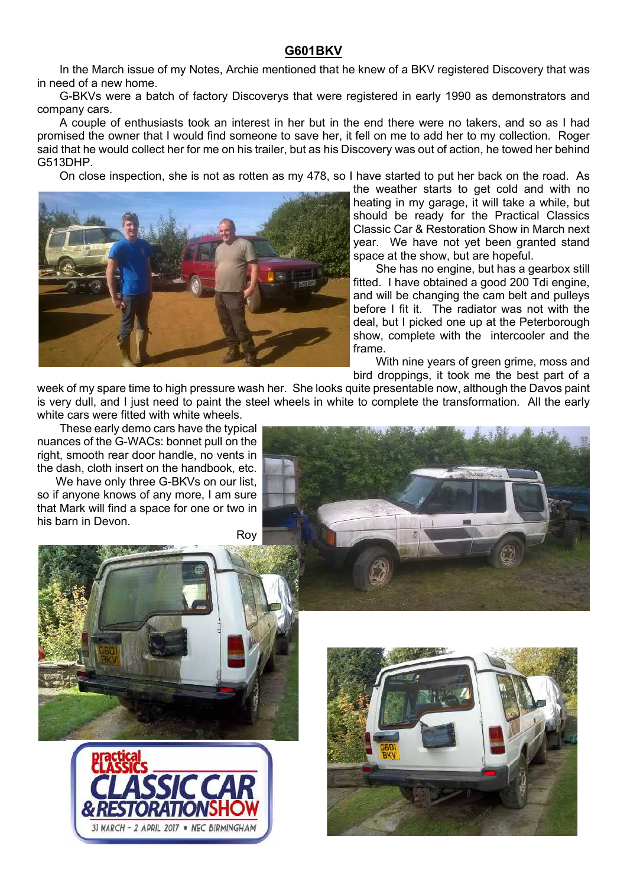## G601BKV

In the March issue of my Notes, Archie mentioned that he knew of a BKV registered Discovery that was in need of a new home.

G-BKVs were a batch of factory Discoverys that were registered in early 1990 as demonstrators and company cars.

A couple of enthusiasts took an interest in her but in the end there were no takers, and so as I had promised the owner that I would find someone to save her, it fell on me to add her to my collection. Roger said that he would collect her for me on his trailer, but as his Discovery was out of action, he towed her behind G513DHP.

On close inspection, she is not as rotten as my 478, so I have started to put her back on the road. As



the weather starts to get cold and with no heating in my garage, it will take a while, but should be ready for the Practical Classics Classic Car & Restoration Show in March next year. We have not yet been granted stand space at the show, but are hopeful.

She has no engine, but has a gearbox still fitted. I have obtained a good 200 Tdi engine, and will be changing the cam belt and pulleys before I fit it. The radiator was not with the deal, but I picked one up at the Peterborough show, complete with the intercooler and the frame.

With nine years of green grime, moss and bird droppings, it took me the best part of a

week of my spare time to high pressure wash her. She looks quite presentable now, although the Davos paint is very dull, and I just need to paint the steel wheels in white to complete the transformation. All the early white cars were fitted with white wheels.

These early demo cars have the typical nuances of the G-WACs: bonnet pull on the right, smooth rear door handle, no vents in the dash, cloth insert on the handbook, etc.

We have only three G-BKVs on our list. so if anyone knows of any more, I am sure that Mark will find a space for one or two in his barn in Devon.

Roy





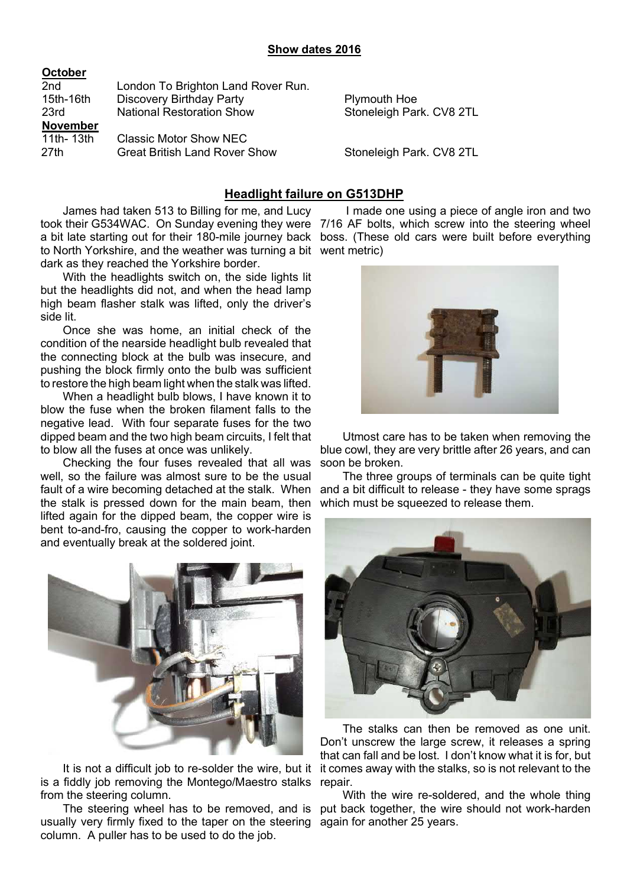| October         |                                      |                          |
|-----------------|--------------------------------------|--------------------------|
| 2 <sub>nd</sub> | London To Brighton Land Rover Run.   |                          |
| 15th-16th       | <b>Discovery Birthday Party</b>      | <b>Plymouth Hoe</b>      |
| 23rd            | <b>National Restoration Show</b>     | Stoneleigh Park. CV8 2TL |
| <b>November</b> |                                      |                          |
| 11th- 13th      | <b>Classic Motor Show NEC</b>        |                          |
| 27th            | <b>Great British Land Rover Show</b> | Stoneleigh Park. CV8 2TL |

## Headlight failure on G513DHP

James had taken 513 to Billing for me, and Lucy took their G534WAC. On Sunday evening they were a bit late starting out for their 180-mile journey back to North Yorkshire, and the weather was turning a bit went metric) dark as they reached the Yorkshire border.

With the headlights switch on, the side lights lit but the headlights did not, and when the head lamp high beam flasher stalk was lifted, only the driver's side lit.

Once she was home, an initial check of the condition of the nearside headlight bulb revealed that the connecting block at the bulb was insecure, and pushing the block firmly onto the bulb was sufficient to restore the high beam light when the stalk was lifted.

When a headlight bulb blows, I have known it to blow the fuse when the broken filament falls to the negative lead. With four separate fuses for the two dipped beam and the two high beam circuits, I felt that to blow all the fuses at once was unlikely.

Checking the four fuses revealed that all was well, so the failure was almost sure to be the usual fault of a wire becoming detached at the stalk. When the stalk is pressed down for the main beam, then lifted again for the dipped beam, the copper wire is bent to-and-fro, causing the copper to work-harden and eventually break at the soldered joint.



It is not a difficult job to re-solder the wire, but it is a fiddly job removing the Montego/Maestro stalks repair. from the steering column.

usually very firmly fixed to the taper on the steering again for another 25 years. column. A puller has to be used to do the job.

 I made one using a piece of angle iron and two 7/16 AF bolts, which screw into the steering wheel boss. (These old cars were built before everything



Utmost care has to be taken when removing the blue cowl, they are very brittle after 26 years, and can soon be broken.

The three groups of terminals can be quite tight and a bit difficult to release - they have some sprags which must be squeezed to release them.



The stalks can then be removed as one unit. Don't unscrew the large screw, it releases a spring that can fall and be lost. I don't know what it is for, but it comes away with the stalks, so is not relevant to the

The steering wheel has to be removed, and is put back together, the wire should not work-harden With the wire re-soldered, and the whole thing